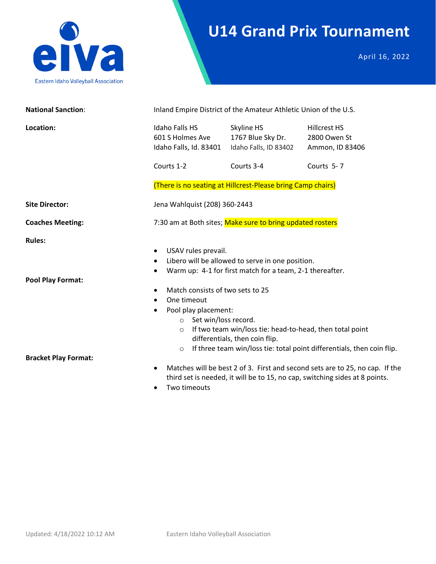

# **U14 Grand Prix Tournament**

April 16, 2022

| <b>National Sanction:</b>                 | Inland Empire District of the Amateur Athletic Union of the U.S.                                                                                                                                             |                                                                                                                                                                                                            |                                                                                                                                                             |
|-------------------------------------------|--------------------------------------------------------------------------------------------------------------------------------------------------------------------------------------------------------------|------------------------------------------------------------------------------------------------------------------------------------------------------------------------------------------------------------|-------------------------------------------------------------------------------------------------------------------------------------------------------------|
| Location:                                 | <b>Idaho Falls HS</b><br>601 S Holmes Ave<br>Idaho Falls, Id. 83401                                                                                                                                          | Skyline HS<br>1767 Blue Sky Dr.<br>Idaho Falls, ID 83402                                                                                                                                                   | <b>Hillcrest HS</b><br>2800 Owen St<br>Ammon, ID 83406                                                                                                      |
|                                           | Courts 1-2                                                                                                                                                                                                   | Courts 3-4                                                                                                                                                                                                 | Courts 5-7                                                                                                                                                  |
|                                           |                                                                                                                                                                                                              | (There is no seating at Hillcrest-Please bring Camp chairs)                                                                                                                                                |                                                                                                                                                             |
| <b>Site Director:</b>                     | Jena Wahlquist (208) 360-2443                                                                                                                                                                                |                                                                                                                                                                                                            |                                                                                                                                                             |
| <b>Coaches Meeting:</b>                   |                                                                                                                                                                                                              | 7:30 am at Both sites; Make sure to bring updated rosters                                                                                                                                                  |                                                                                                                                                             |
| <b>Rules:</b><br><b>Pool Play Format:</b> | USAV rules prevail.<br>٠<br>$\bullet$<br>$\bullet$<br>Match consists of two sets to 25<br>٠<br>One timeout<br>$\bullet$<br>Pool play placement:<br>$\bullet$<br>o Set win/loss record.<br>$\circ$<br>$\circ$ | Libero will be allowed to serve in one position.<br>Warm up: 4-1 for first match for a team, 2-1 thereafter.<br>If two team win/loss tie: head-to-head, then total point<br>differentials, then coin flip. | If three team win/loss tie: total point differentials, then coin flip.                                                                                      |
| <b>Bracket Play Format:</b>               | $\bullet$<br>Two timeouts                                                                                                                                                                                    |                                                                                                                                                                                                            | Matches will be best 2 of 3. First and second sets are to 25, no cap. If the<br>third set is needed, it will be to 15, no cap, switching sides at 8 points. |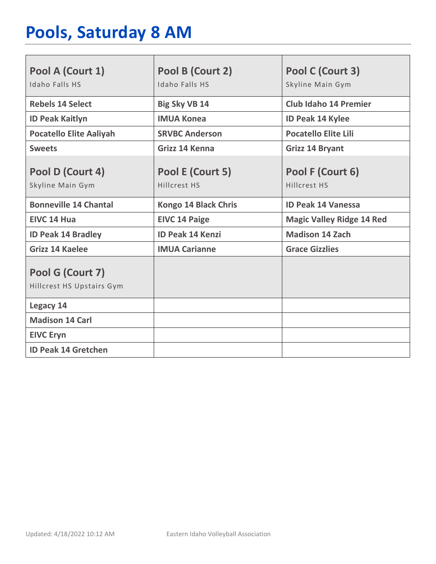# **Pools, Saturday 8 AM**

| Pool A (Court 1)<br>Idaho Falls HS            | Pool B (Court 2)<br>Idaho Falls HS | Pool C (Court 3)<br>Skyline Main Gym |
|-----------------------------------------------|------------------------------------|--------------------------------------|
| <b>Rebels 14 Select</b>                       | <b>Big Sky VB 14</b>               | <b>Club Idaho 14 Premier</b>         |
| <b>ID Peak Kaitlyn</b>                        | <b>IMUA Konea</b>                  | <b>ID Peak 14 Kylee</b>              |
| <b>Pocatello Elite Aaliyah</b>                | <b>SRVBC Anderson</b>              | <b>Pocatello Elite Lili</b>          |
| <b>Sweets</b>                                 | Grizz 14 Kenna                     | <b>Grizz 14 Bryant</b>               |
| Pool D (Court 4)<br>Skyline Main Gym          | Pool E (Court 5)<br>Hillcrest HS   | Pool F (Court 6)<br>Hillcrest HS     |
| <b>Bonneville 14 Chantal</b>                  | <b>Kongo 14 Black Chris</b>        | <b>ID Peak 14 Vanessa</b>            |
| EIVC 14 Hua                                   | <b>EIVC 14 Paige</b>               | <b>Magic Valley Ridge 14 Red</b>     |
| <b>ID Peak 14 Bradley</b>                     | <b>ID Peak 14 Kenzi</b>            | <b>Madison 14 Zach</b>               |
| <b>Grizz 14 Kaelee</b>                        | <b>IMUA Carianne</b>               | <b>Grace Gizzlies</b>                |
| Pool G (Court 7)<br>Hillcrest HS Upstairs Gym |                                    |                                      |
| Legacy 14                                     |                                    |                                      |
| <b>Madison 14 Carl</b>                        |                                    |                                      |
| <b>EIVC Eryn</b>                              |                                    |                                      |
| <b>ID Peak 14 Gretchen</b>                    |                                    |                                      |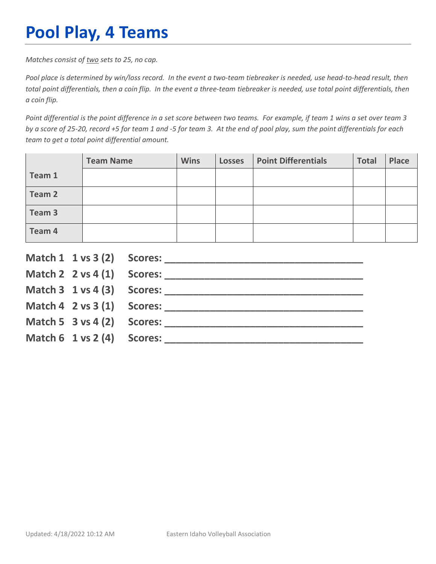# **Pool Play, 4 Teams**

*Matches consist of two sets to 25, no cap.*

*Pool place is determined by win/loss record. In the event a two-team tiebreaker is needed, use head-to-head result, then total point differentials, then a coin flip. In the event a three-team tiebreaker is needed, use total point differentials, then a coin flip.*

*Point differential is the point difference in a set score between two teams. For example, if team 1 wins a set over team 3 by a score of 25-20, record +5 for team 1 and -5 for team 3. At the end of pool play, sum the point differentials for each team to get a total point differential amount.* 

|        | <b>Team Name</b> | <b>Wins</b> | <b>Losses</b> | <b>Point Differentials</b> | <b>Total</b> | <b>Place</b> |
|--------|------------------|-------------|---------------|----------------------------|--------------|--------------|
| Team 1 |                  |             |               |                            |              |              |
| Team 2 |                  |             |               |                            |              |              |
| Team 3 |                  |             |               |                            |              |              |
| Team 4 |                  |             |               |                            |              |              |

|                                        | Match $2 \times 4(1)$ Scores:              |
|----------------------------------------|--------------------------------------------|
|                                        |                                            |
|                                        | Match $4 \quad 2 \text{ vs } 3(1)$ Scores: |
| Match 5 $3$ vs 4 (2) Scores:           |                                            |
| Match $6 \t1 \text{ vs } 2(4)$ Scores: |                                            |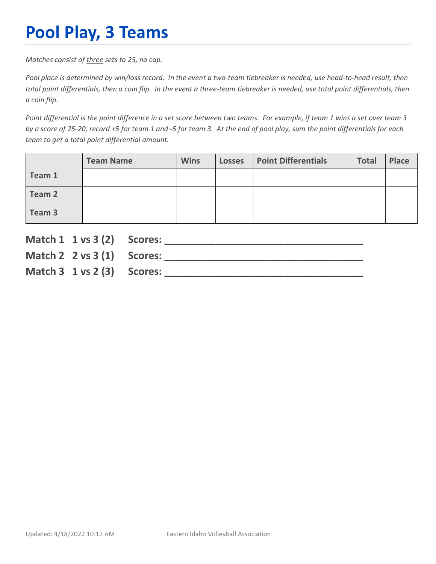# **Pool Play, 3 Teams**

*Matches consist of three sets to 25, no cap.*

*Pool place is determined by win/loss record. In the event a two-team tiebreaker is needed, use head-to-head result, then total point differentials, then a coin flip. In the event a three-team tiebreaker is needed, use total point differentials, then a coin flip.*

*Point differential is the point difference in a set score between two teams. For example, if team 1 wins a set over team 3 by a score of 25-20, record +5 for team 1 and -5 for team 3. At the end of pool play, sum the point differentials for each team to get a total point differential amount.* 

|        | <b>Team Name</b> | <b>Wins</b> | <b>Losses</b> | <b>Point Differentials</b> | <b>Total</b> | Place |
|--------|------------------|-------------|---------------|----------------------------|--------------|-------|
| Team 1 |                  |             |               |                            |              |       |
| Team 2 |                  |             |               |                            |              |       |
| Team 3 |                  |             |               |                            |              |       |

| Match 1 1 vs 3 (2) Scores:               |                               |
|------------------------------------------|-------------------------------|
|                                          | Match $2 \times 3(1)$ Scores: |
| Match $3 \t1 \text{ vs } 2 \t3)$ Scores: |                               |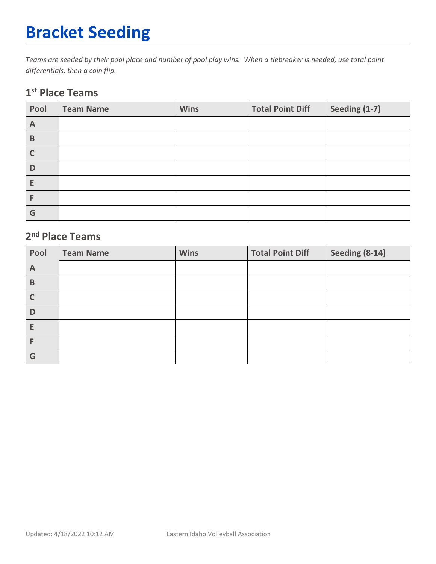# **Bracket Seeding**

*Teams are seeded by their pool place and number of pool play wins. When a tiebreaker is needed, use total point differentials, then a coin flip.*

### **1st Place Teams**

| Pool        | <b>Team Name</b> | <b>Wins</b> | <b>Total Point Diff</b> | Seeding (1-7) |
|-------------|------------------|-------------|-------------------------|---------------|
| A           |                  |             |                         |               |
| $\mathsf B$ |                  |             |                         |               |
|             |                  |             |                         |               |
| D           |                  |             |                         |               |
| E           |                  |             |                         |               |
|             |                  |             |                         |               |
| G           |                  |             |                         |               |

### **2nd Place Teams**

| Pool         | <b>Team Name</b> | <b>Wins</b> | <b>Total Point Diff</b> | Seeding (8-14) |
|--------------|------------------|-------------|-------------------------|----------------|
| $\mathsf{A}$ |                  |             |                         |                |
| B            |                  |             |                         |                |
|              |                  |             |                         |                |
| D            |                  |             |                         |                |
| E            |                  |             |                         |                |
|              |                  |             |                         |                |
| G            |                  |             |                         |                |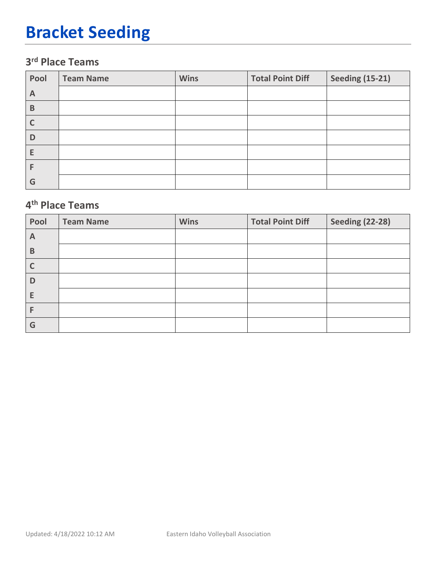# **Bracket Seeding**

### **3rd Place Teams**

| Pool | <b>Team Name</b> | <b>Wins</b> | <b>Total Point Diff</b> | <b>Seeding (15-21)</b> |
|------|------------------|-------------|-------------------------|------------------------|
| A    |                  |             |                         |                        |
| B    |                  |             |                         |                        |
|      |                  |             |                         |                        |
| D    |                  |             |                         |                        |
| Е    |                  |             |                         |                        |
|      |                  |             |                         |                        |
| G    |                  |             |                         |                        |

### **4th Place Teams**

| Pool         | <b>Team Name</b> | <b>Wins</b> | <b>Total Point Diff</b> | <b>Seeding (22-28)</b> |
|--------------|------------------|-------------|-------------------------|------------------------|
| $\mathsf{A}$ |                  |             |                         |                        |
| B            |                  |             |                         |                        |
| C            |                  |             |                         |                        |
| D            |                  |             |                         |                        |
| E            |                  |             |                         |                        |
| F            |                  |             |                         |                        |
| G            |                  |             |                         |                        |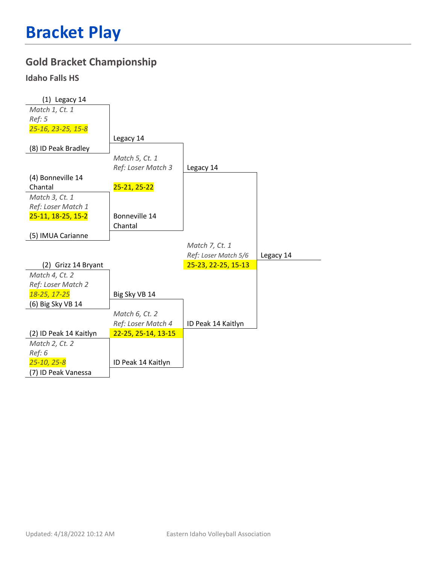### **Gold Bracket Championship**

#### **Idaho Falls HS**

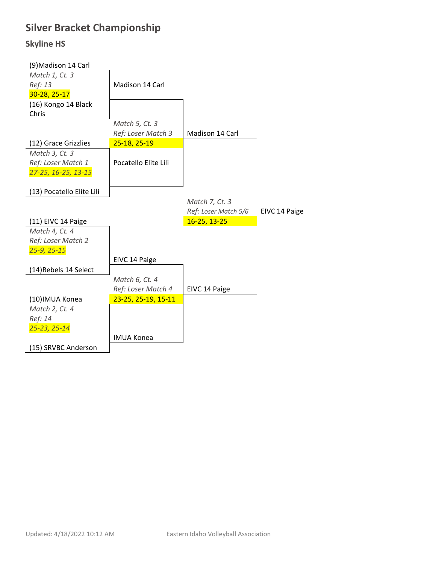## **Silver Bracket Championship**

#### **Skyline HS**

| (9) Madison 14 Carl       |                      |                      |               |
|---------------------------|----------------------|----------------------|---------------|
| Match 1, Ct. 3            |                      |                      |               |
| Ref: 13                   | Madison 14 Carl      |                      |               |
| 30-28, 25-17              |                      |                      |               |
| (16) Kongo 14 Black       |                      |                      |               |
| Chris                     |                      |                      |               |
|                           | Match 5, Ct. 3       |                      |               |
|                           | Ref: Loser Match 3   | Madison 14 Carl      |               |
| (12) Grace Grizzlies      | 25-18, 25-19         |                      |               |
| Match 3, Ct. 3            |                      |                      |               |
| Ref: Loser Match 1        | Pocatello Elite Lili |                      |               |
| 27-25, 16-25, 13-15       |                      |                      |               |
|                           |                      |                      |               |
| (13) Pocatello Elite Lili |                      |                      |               |
|                           |                      | Match 7, Ct. 3       |               |
|                           |                      |                      |               |
|                           |                      | Ref: Loser Match 5/6 | EIVC 14 Paige |
| (11) EIVC 14 Paige        |                      | 16-25, 13-25         |               |
| Match 4, Ct. 4            |                      |                      |               |
| Ref: Loser Match 2        |                      |                      |               |
| $25 - 9, 25 - 15$         |                      |                      |               |
|                           | EIVC 14 Paige        |                      |               |
| (14) Rebels 14 Select     |                      |                      |               |
|                           | Match 6, Ct. 4       |                      |               |
|                           | Ref: Loser Match 4   | EIVC 14 Paige        |               |
| (10) IMUA Konea           | 23-25, 25-19, 15-11  |                      |               |
| Match 2, Ct. 4            |                      |                      |               |
| Ref: 14                   |                      |                      |               |
| 25-23, 25-14              |                      |                      |               |
|                           | <b>IMUA Konea</b>    |                      |               |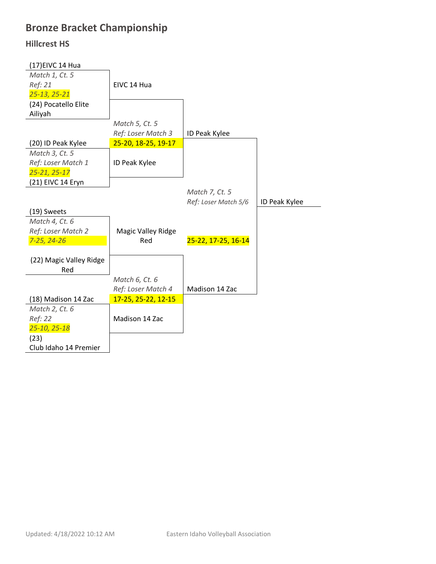## **Bronze Bracket Championship**

#### **Hillcrest HS**

| (17) EIVC 14 Hua        |                           |                      |               |
|-------------------------|---------------------------|----------------------|---------------|
| Match 1, Ct. 5          |                           |                      |               |
| Ref: 21                 | EIVC 14 Hua               |                      |               |
| 25-13, 25-21            |                           |                      |               |
| (24) Pocatello Elite    |                           |                      |               |
| Ailiyah                 |                           |                      |               |
|                         | Match 5, Ct. 5            |                      |               |
|                         | Ref: Loser Match 3        | ID Peak Kylee        |               |
| (20) ID Peak Kylee      | 25-20, 18-25, 19-17       |                      |               |
| Match 3, Ct. 5          |                           |                      |               |
| Ref: Loser Match 1      | ID Peak Kylee             |                      |               |
| 25-21, 25-17            |                           |                      |               |
| (21) EIVC 14 Eryn       |                           |                      |               |
|                         |                           | Match 7, Ct. 5       |               |
|                         |                           | Ref: Loser Match 5/6 | ID Peak Kylee |
| (19) Sweets             |                           |                      |               |
| Match 4, Ct. 6          |                           |                      |               |
| Ref: Loser Match 2      | <b>Magic Valley Ridge</b> |                      |               |
| 7-25, 24-26             | Red                       | 25-22, 17-25, 16-14  |               |
|                         |                           |                      |               |
| (22) Magic Valley Ridge |                           |                      |               |
| Red                     |                           |                      |               |
|                         | Match 6, Ct. 6            |                      |               |
|                         | Ref: Loser Match 4        | Madison 14 Zac       |               |
| (18) Madison 14 Zac     | 17-25, 25-22, 12-15       |                      |               |
| Match 2, Ct. 6          |                           |                      |               |
| Ref: 22                 | Madison 14 Zac            |                      |               |
| 25-10, 25-18            |                           |                      |               |
| (23)                    |                           |                      |               |
| Club Idaho 14 Premier   |                           |                      |               |